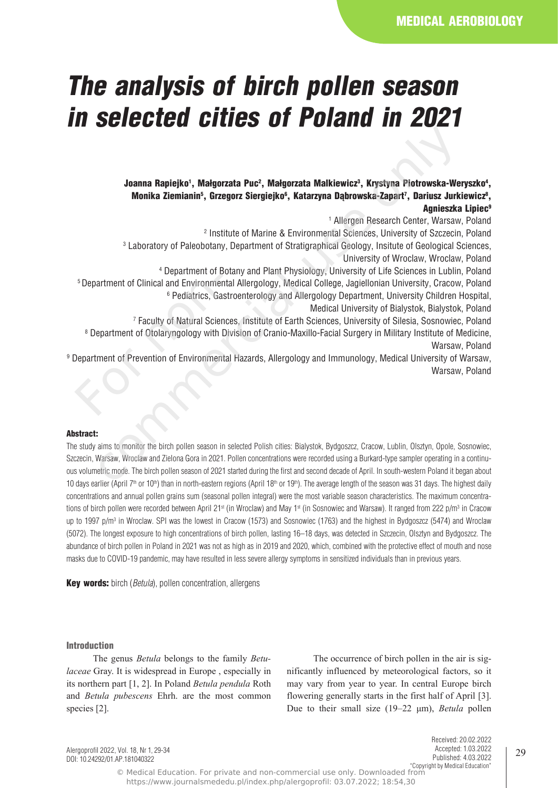# *The analysis of birch pollen season in selected cities of Poland in 2021*

Joanna Rapiejko', Małgorzata Puc<sup>2</sup>, Małgorzata Malkiewicz<sup>3</sup>, Krystyna Piotrowska-Weryszko<sup>4</sup>, Monika Ziemianin<sup>s</sup>, Grzegorz Siergiejko<sup>6</sup>, Katarzyna Dąbrowska-Zapart<sup>7</sup>, Dariusz Jurkiewicz<sup>8</sup>, Agnieszka Lipiec<sup>9</sup>

1 Allergen Research Center, Warsaw, Poland

2 Institute of Marine & Environmental Sciences, University of Szczecin, Poland

3 Laboratory of Paleobotany, Department of Stratigraphical Geology, Insitute of Geological Sciences, University of Wroclaw, Wroclaw, Poland

4 Department of Botany and Plant Physiology, University of Life Sciences in Lublin, Poland

<sup>5</sup>Department of Clinical and Environmental Allergology, Medical College, Jagiellonian University, Cracow, Poland <sup>6</sup> Pediatrics, Gastroenterology and Allergology Department, University Children Hospital,

Medical University of Bialystok, Bialystok, Poland

7 Faculty of Natural Sciences, Institute of Earth Sciences, University of Silesia, Sosnowiec, Poland

8 Department of Otolaryngology with Division of Cranio-Maxillo-Facial Surgery in Military Institute of Medicine, Warsaw, Poland

9 Department of Prevention of Environmental Hazards, Allergology and Immunology, Medical University of Warsaw, Warsaw, Poland <sup>5</sup> Department of Clinical and Environmer<br><sup>6</sup> Pediatrics, Ga<br><sup>7</sup> Faculty of Natural Scier<br><sup>8</sup> Department of Otolaryngology with I<br>Department of Prevention of Environment

# Abstract:

The study aims to monitor the birch pollen season in selected Polish cities: Bialystok, Bydgoszcz, Cracow, Lublin, Olsztyn, Opole, Sosnowiec, Szczecin, Warsaw, Wroclaw and Zielona Gora in 2021. Pollen concentrations were recorded using a Burkard-type sampler operating in a continuous volumetric mode. The birch pollen season of 2021 started during the first and second decade of April. In south-western Poland it began about 10 days earlier (April 7<sup>th</sup> or 10<sup>th</sup>) than in north-eastern regions (April 18<sup>th</sup> or 19<sup>th</sup>). The average length of the season was 31 days. The highest daily concentrations and annual pollen grains sum (seasonal pollen integral) were the most variable season characteristics. The maximum concentrations of birch pollen were recorded between April 21st (in Wroclaw) and May 1st (in Sosnowiec and Warsaw). It ranged from 222 p/m3 in Cracow up to 1997 p/m<sup>3</sup> in Wroclaw. SPI was the lowest in Cracow (1573) and Sosnowiec (1763) and the highest in Bydgoszcz (5474) and Wroclaw (5072). The longest exposure to high concentrations of birch pollen, lasting 16–18 days, was detected in Szczecin, Olsztyn and Bydgoszcz. The abundance of birch pollen in Poland in 2021 was not as high as in 2019 and 2020, which, combined with the protective effect of mouth and nose masks due to COVID-19 pandemic, may have resulted in less severe allergy symptoms in sensitized individuals than in previous years. Commary Rapiejkol, Malgorzata Pueč, Malgorzata Malkiewicz<sup>a</sup>, Krystyna Piotrowska-We<br>
Monika Ziemianin<sup>s</sup>, Grzegorz Siergiejko<sup>6</sup>, Katarzyna Dąbrowska-Zapart?, Dariusz Jurk<br>
Monika Ziemianin<sup>s</sup>, Grzegorz Siergiejko<sup>6</sup>, Kat

Key words: birch (*Betula*), pollen concentration, allergens

#### Introduction

The genus *Betula* belongs to the family *Betulaceae* Gray. It is widespread in Europe , especially in its northern part [1, 2]. In Poland *Betula pendula* Roth and *Betula pubescens* Ehrh. are the most common species [2].

The occurrence of birch pollen in the air is significantly influenced by meteorological factors, so it may vary from year to year. In central Europe birch flowering generally starts in the first half of April [3]. Due to their small size (19–22 μm), *Betula* pollen

Alergoprofil 2022, Vol. 18, Nr 1, 29-34 DOI: 10.24292/01.AP.181040322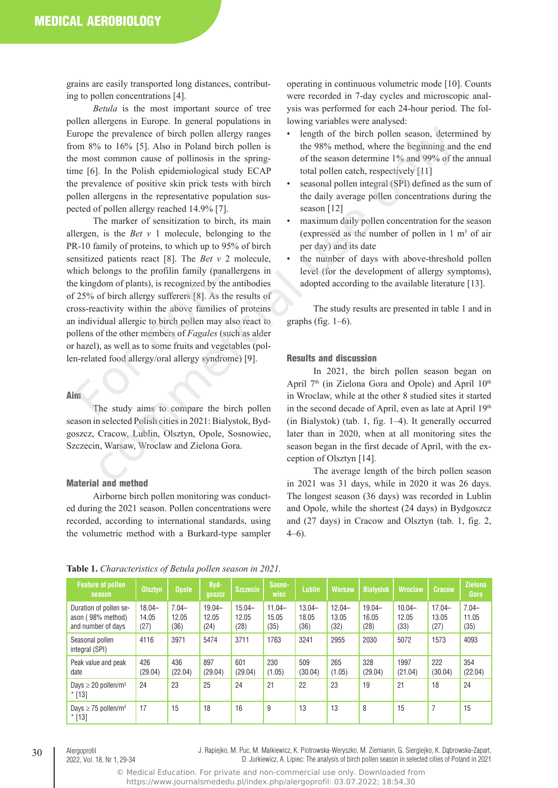grains are easily transported long distances, contributing to pollen concentrations [4].

*Betula* is the most important source of tree pollen allergens in Europe. In general populations in Europe the prevalence of birch pollen allergy ranges from 8% to 16% [5]. Also in Poland birch pollen is the most common cause of pollinosis in the springtime [6]. In the Polish epidemiological study ECAP the prevalence of positive skin prick tests with birch pollen allergens in the representative population suspected of pollen allergy reached 14.9% [7].

The marker of sensitization to birch, its main allergen, is the *Bet v* 1 molecule, belonging to the PR-10 family of proteins, to which up to 95% of birch sensitized patients react [8]. The *Bet v* 2 molecule, which belongs to the profilin family (panallergens in the kingdom of plants), is recognized by the antibodies of 25% of birch allergy sufferers [8]. As the results of cross-reactivity within the above families of proteins an individual allergic to birch pollen may also react to pollens of the other members of *Fagales* (such as alder or hazel), as well as to some fruits and vegetables (pollen-related food allergy/oral allergy syndrome) [9]. e kingdom of plants), is recognized by the kingdom of plants), is recognized by the 25% of birch allergy sufferers [8]. As the oss-reactivity within the above families individual allergic to birch pollen may blens of the o the prevalence of birch pollen allergy ranges<br>
section of the birch pollen season, determine and the birch pollen in the 98% method, where the beginning and<br>
it common cause of pollinosis in the spring-<br>
of the season det

### Aim

The study aims to compare the birch pollen season in selected Polish cities in 2021: Bialystok, Bydgoszcz, Cracow, Lublin, Olsztyn, Opole, Sosnowiec, Szczecin, Warsaw, Wroclaw and Zielona Gora.

# Material and method

Airborne birch pollen monitoring was conducted during the 2021 season. Pollen concentrations were recorded, according to international standards, using the volumetric method with a Burkard-type sampler operating in continuous volumetric mode [10]. Counts were recorded in 7-day cycles and microscopic analysis was performed for each 24-hour period. The following variables were analysed:

- length of the birch pollen season, determined by the 98% method, where the beginning and the end of the season determine 1% and 99% of the annual total pollen catch, respectively [11]
- seasonal pollen integral (SPI) defined as the sum of the daily average pollen concentrations during the season [12]
- maximum daily pollen concentration for the season (expressed as the number of pollen in  $1 \text{ m}^3$  of air per day) and its date
- the number of days with above-threshold pollen level (for the development of allergy symptoms), adopted according to the available literature [13].

The study results are presented in table 1 and in graphs (fig.  $1-6$ ).

### Results and discussion

In 2021, the birch pollen season began on April 7<sup>th</sup> (in Zielona Gora and Opole) and April 10<sup>th</sup> in Wroclaw, while at the other 8 studied sites it started in the second decade of April, even as late at April 19th (in Bialystok) (tab. 1, fig. 1–4). It generally occurred later than in 2020, when at all monitoring sites the season began in the first decade of April, with the exception of Olsztyn [14].

The average length of the birch pollen season in 2021 was 31 days, while in 2020 it was 26 days. The longest season (36 days) was recorded in Lublin and Opole, while the shortest (24 days) in Bydgoszcz and (27 days) in Cracow and Olsztyn (tab. 1, fig. 2, 4–6).

| <b>Feature of pollen</b><br>season                                | <b>Olsztyn</b>             | <b>Opole</b>              | Byd-<br><b>QOSZCZ</b>      | <b>Szczecin</b>            | Sosno-<br>wiec             | Lublin                     | <b>Warsaw</b>              | <b>Bialystok</b>           | <b>Wroclaw</b>             | <b>Cracow</b>              | <b>Zielona</b><br>Gora    |
|-------------------------------------------------------------------|----------------------------|---------------------------|----------------------------|----------------------------|----------------------------|----------------------------|----------------------------|----------------------------|----------------------------|----------------------------|---------------------------|
| Duration of pollen se-<br>ason (98% method)<br>and number of days | $18.04 -$<br>14.05<br>(27) | $7.04 -$<br>12.05<br>(36) | $19.04 -$<br>12.05<br>(24) | $15.04 -$<br>12.05<br>(28) | $11.04 -$<br>15.05<br>(35) | $13.04 -$<br>18.05<br>(36) | $12.04 -$<br>13.05<br>(32) | $19.04 -$<br>16.05<br>(28) | $10.04 -$<br>12.05<br>(33) | $17.04 -$<br>13.05<br>(27) | $7.04 -$<br>11.05<br>(35) |
| Seasonal pollen<br>integral (SPI)                                 | 4116                       | 3971                      | 5474                       | 3711                       | 1763                       | 3241                       | 2955                       | 2030                       | 5072                       | 1573                       | 4093                      |
| Peak value and peak<br>date                                       | 426<br>(29.04)             | 436<br>(22.04)            | 897<br>(29.04)             | 601<br>(29.04)             | 230<br>(1.05)              | 509<br>(30.04)             | 265<br>(1.05)              | 328<br>(29.04)             | 1997<br>(21.04)            | 222<br>(30.04)             | 354<br>(22.04)            |
| Days $\geq$ 20 pollen/m <sup>3</sup><br>$*$ [13]                  | 24                         | 23                        | 25                         | 24                         | 21                         | 22                         | 23                         | 19                         | 21                         | 18                         | 24                        |
| Days $\geq$ 75 pollen/m <sup>3</sup><br>$*$ [13]                  | 17                         | 15                        | 18                         | 16                         | 9                          | 13                         | 13                         | 8                          | 15                         | 7                          | 15                        |

#### **Table 1.** *Characteristics of Betula pollen season in 2021.*

2022, Vol. 18, Nr 1, 29-34

J. Rapiejko, M. Puc, M. Malkiewicz, K. Piotrowska-Weryszko, M. Ziemianin, G. Siergiejko, K. Dąbrowska-Zapart, D. Jurkiewicz, A. Lipiec: The analysis of birch pollen season in selected cities of Poland in 2021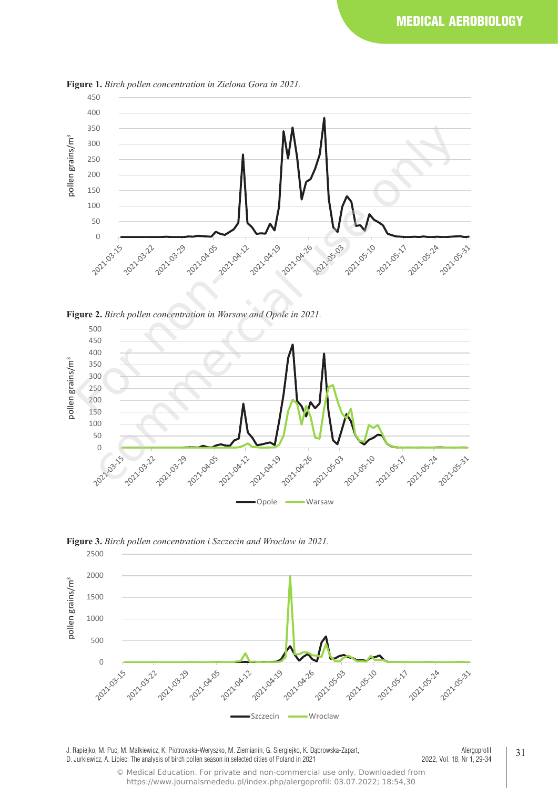

**Figure 1.** *Birch pollen concentration in Zielona Gora in 2021.*









J. Rapiejko, M. Puc, M. Malkiewicz, K. Piotrowska-Weryszko, M. Ziemianin, G. Siergiejko, K. Dąbrowska-Zapart, D. Jurkiewicz, A. Lipiec: The analysis of birch pollen season in selected cities of Poland in 2021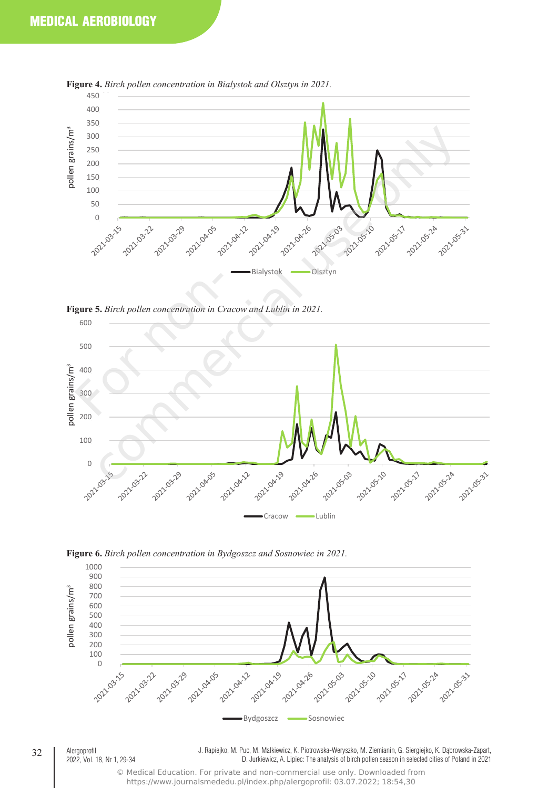

**Figure 4.** *Birch pollen concentration in Bialystok and Olsztyn in 2021.*







**Figure 6.** *Birch pollen concentration in Bydgoszcz and Sosnowiec in 2021.*

J. Rapiejko, M. Puc, M. Malkiewicz, K. Piotrowska-Weryszko, M. Ziemianin, G. Siergiejko, K. Dąbrowska-Zapart, D. Jurkiewicz, A. Lipiec: The analysis of birch pollen season in selected cities of Poland in 2021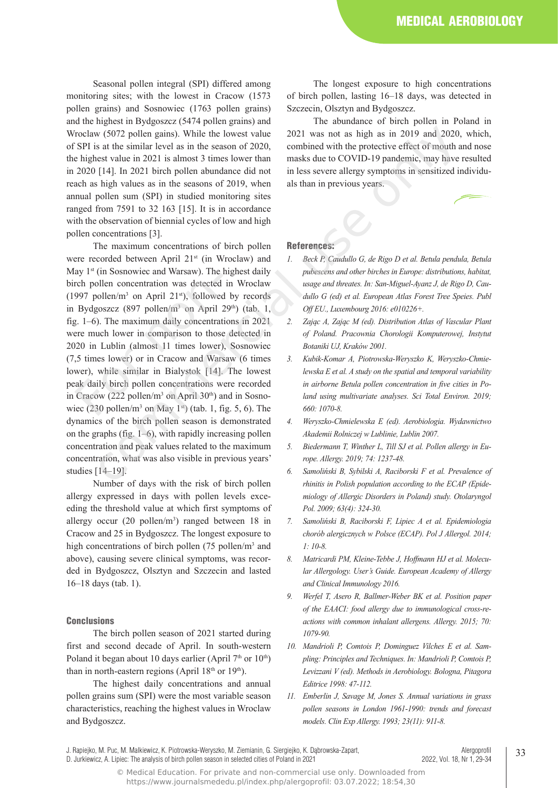Seasonal pollen integral (SPI) differed among monitoring sites; with the lowest in Cracow (1573 pollen grains) and Sosnowiec (1763 pollen grains) and the highest in Bydgoszcz (5474 pollen grains) and Wroclaw (5072 pollen gains). While the lowest value of SPI is at the similar level as in the season of 2020, the highest value in 2021 is almost 3 times lower than in 2020 [14]. In 2021 birch pollen abundance did not reach as high values as in the seasons of 2019, when annual pollen sum (SPI) in studied monitoring sites ranged from 7591 to 32 163 [15]. It is in accordance with the observation of biennial cycles of low and high pollen concentrations [3].

The maximum concentrations of birch pollen were recorded between April 21<sup>st</sup> (in Wroclaw) and May 1<sup>st</sup> (in Sosnowiec and Warsaw). The highest daily birch pollen concentration was detected in Wroclaw  $(1997 \text{ pollen/m}^3 \text{ on April } 21\text{st})$ , followed by records in Bydgoszcz (897 pollen/m<sup>3</sup> on April 29<sup>th</sup>) (tab. 1, fig. 1–6). The maximum daily concentrations in 2021 were much lower in comparison to those detected in 2020 in Lublin (almost 11 times lower), Sosnowiec (7,5 times lower) or in Cracow and Warsaw (6 times lower), while similar in Bialystok [14]. The lowest peak daily birch pollen concentrations were recorded in Cracow (222 pollen/m<sup>3</sup> on April 30<sup>th</sup>) and in Sosnowiec  $(230 \text{ pollen/m}^3 \text{ on } \text{May } 1\text{st})$  (tab. 1, fig. 5, 6). The dynamics of the birch pollen season is demonstrated on the graphs (fig. 1–6), with rapidly increasing pollen concentration and peak values related to the maximum concentration, what was also visible in previous years' studies [14–19]. as 1 (in soshowice and walsaw). The 1<br>rch pollen concentration was detected<br>997 pollen/m<sup>3</sup> on April 21<sup>st</sup>), followed<br>Bydgoszcz (897 pollen/m<sup>3</sup> on April 2<br>1. 1–6). The maximum daily concentrat<br>rere much lower in compari w (5072 pollen gains). While the lowest value 2021 was not as high as in 2019 and 2020,<br>as at the similar level as in the season of 2020, combined with the protective effect of mouth and the similar level as in the same o

Number of days with the risk of birch pollen allergy expressed in days with pollen levels exceeding the threshold value at which first symptoms of allergy occur  $(20 \text{ pollen/m}^3)$  ranged between 18 in Cracow and 25 in Bydgoszcz. The longest exposure to high concentrations of birch pollen (75 pollen/m<sup>3</sup> and above), causing severe clinical symptoms, was recorded in Bydgoszcz, Olsztyn and Szczecin and lasted 16–18 days (tab. 1).

#### **Conclusions**

The birch pollen season of 2021 started during first and second decade of April. In south-western Poland it began about 10 days earlier (April  $7<sup>th</sup>$  or  $10<sup>th</sup>$ ) than in north-eastern regions (April  $18<sup>th</sup>$  or  $19<sup>th</sup>$ ).

The highest daily concentrations and annual pollen grains sum (SPI) were the most variable season characteristics, reaching the highest values in Wroclaw and Bydgoszcz.

The longest exposure to high concentrations of birch pollen, lasting 16–18 days, was detected in Szczecin, Olsztyn and Bydgoszcz.

The abundance of birch pollen in Poland in 2021 was not as high as in 2019 and 2020, which, combined with the protective effect of mouth and nose masks due to COVID-19 pandemic, may have resulted in less severe allergy symptoms in sensitized individuals than in previous years.

# References:

- *1. Beck P, Caudullo G, de Rigo D et al. Betula pendula, Betula pubescens and other birches in Europe: distributions, habitat, usage and threates. In: San-Miguel-Ayanz J, de Rigo D, Caudullo G (ed) et al. European Atlas Forest Tree Speies. Publ Off EU., Luxembourg 2016: e010226+.*
- *2. Zając A, Zając M (ed). Distribution Atlas of Vascular Plant of Poland. Pracownia Chorologii Komputerowej, Instytut Botaniki UJ, Kraków 2001.*
- *3. Kubik-Komar A, Piotrowska-Weryszko K, Weryszko-Chmielewska E et al. A study on the spatial and temporal variability in airborne Betula pollen concentration in five cities in Poland using multivariate analyses. Sci Total Environ. 2019; 660: 1070-8.*
- *4. Weryszko-Chmielewska E (ed). Aerobiologia. Wydawnictwo Akademii Rolniczej w Lublinie, Lublin 2007.*
- *5. Biedermann T, Winther L, Till SJ et al. Pollen allergy in Europe. Allergy. 2019; 74: 1237-48.*
- *6. Samoliński B, Sybilski A, Raciborski F et al. Prevalence of rhinitis in Polish population according to the ECAP (Epidemiology of Allergic Disorders in Poland) study. Otolaryngol Pol. 2009; 63(4): 324-30.*
- *7. Samoliński B, Raciborski F, Lipiec A et al. Epidemiologia chorób alergicznych w Polsce (ECAP). Pol J Allergol. 2014; 1: 10-8.*
- *8. Matricardi PM, Kleine-Tebbe J, Hoffmann HJ et al. Molecular Allergology. User's Guide. European Academy of Allergy and Clinical Immunology 2016.*
- *9. Werfel T, Asero R, Ballmer-Weber BK et al. Position paper of the EAACI: food allergy due to immunological cross-reactions with common inhalant allergens. Allergy. 2015; 70: 1079-90.*
- *10. Mandrioli P, Comtois P, Dominguez Vilches E et al. Sampling: Principles and Techniques. In: Mandrioli P, Comtois P, Levizzani V (ed). Methods in Aerobiology. Bologna, Pitagora Editrice 1998: 47-112.*
- *11. Emberlin J, Savage M, Jones S. Annual variations in grass pollen seasons in London 1961-1990: trends and forecast models. Clin Exp Allergy. 1993; 23(11): 911-8.*

J. Rapiejko, M. Puc, M. Malkiewicz, K. Piotrowska-Weryszko, M. Ziemianin, G. Siergiejko, K. Dąbrowska-Zapart, D. Jurkiewicz, A. Lipiec: The analysis of birch pollen season in selected cities of Poland in 2021